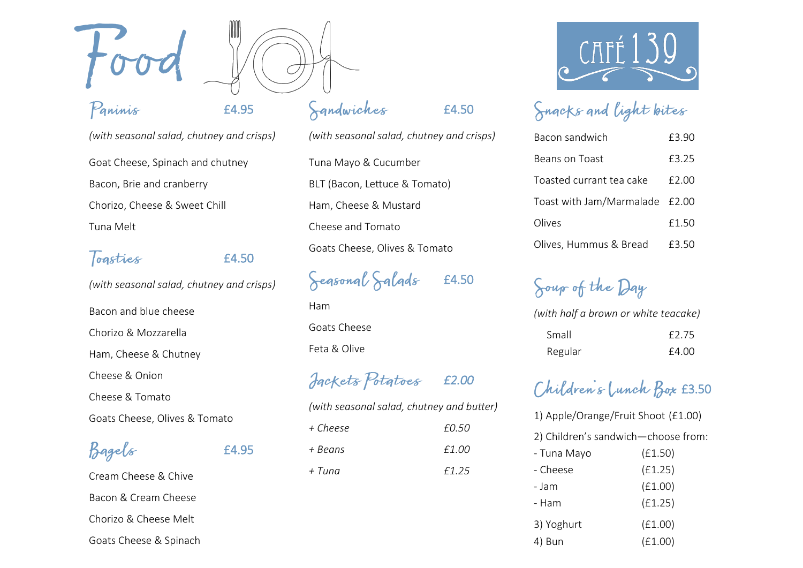

#### Paninis

### £4.95

*(with seasonal salad, chutney and crisps)* Goat Cheese, Spinach and chutney Bacon, Brie and cranberry Chorizo, Cheese & Sweet Chill Tuna Melt

## Togsties E4.50

£4.95

*(with seasonal salad, chutney and crisps)* Bacon and blue cheese Chorizo & Mozzarella Ham, Cheese & Chutney

Cheese & Onion Cheese & Tomato

Goats Cheese, Olives & Tomato

Bagels

Cream Cheese & Chive Bacon & Cream Cheese Chorizo & Cheese Melt Goats Cheese & Spinach

# Sandwiches

*(with seasonal salad, chutney and crisps)* Tuna Mayo & Cucumber BLT (Bacon, Lettuce & Tomato) Ham, Cheese & Mustard Cheese and Tomato Goats Cheese, Olives & Tomato

£4.50

Segsonal Salads £4.50

Ham Goats Cheese Feta & Olive

 *£2.00* 





# Snacks and light bites

| Bacon sandwich                 | £3.90 |
|--------------------------------|-------|
| Beans on Toast                 | £3.25 |
| Toasted currant tea cake       | £2.00 |
| Toast with Jam/Marmalade £2.00 |       |
| Olives                         | £1.50 |
| Olives, Hummus & Bread         | £3.50 |

# Soup of the Day

*(with half a brown or white teacake)*

| Small   | £2.75 |
|---------|-------|
| Regular | £4.00 |

# Children's Lunch Box £3.50

| 1) Apple/Orange/Fruit Shoot (£1.00) |         |  |
|-------------------------------------|---------|--|
| 2) Children's sandwich-choose from: |         |  |
| - Tuna Mayo                         | (E1.50) |  |
| - Cheese                            | (f1.25) |  |
| - Jam                               | (E1.00) |  |
| - Ham                               | (f1.25) |  |
| 3) Yoghurt                          | (E1.00) |  |
| Bun                                 | (E1.00) |  |